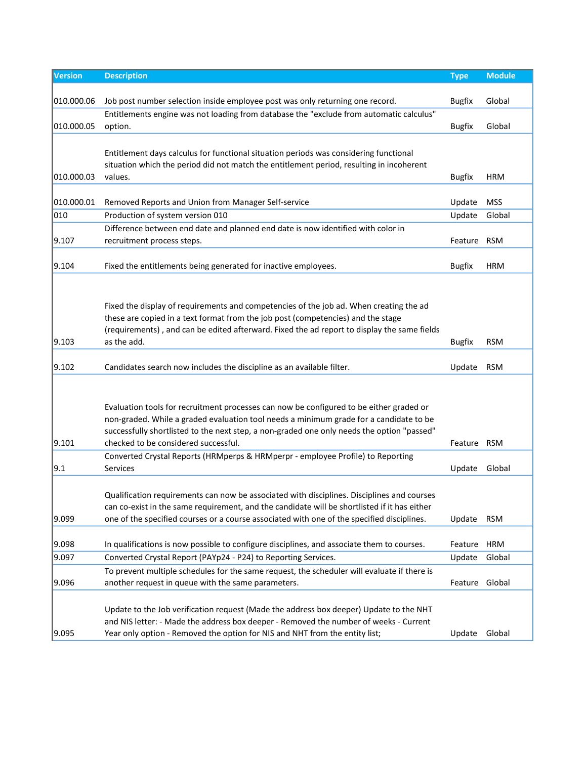| Version    | <b>Description</b>                                                                                                                                                                | <b>Type</b>    | <b>Module</b> |
|------------|-----------------------------------------------------------------------------------------------------------------------------------------------------------------------------------|----------------|---------------|
|            |                                                                                                                                                                                   |                |               |
| 010.000.06 | Job post number selection inside employee post was only returning one record.                                                                                                     | <b>Bugfix</b>  | Global        |
|            | Entitlements engine was not loading from database the "exclude from automatic calculus"                                                                                           |                |               |
| 010.000.05 | option.                                                                                                                                                                           | <b>Bugfix</b>  | Global        |
|            |                                                                                                                                                                                   |                |               |
|            | Entitlement days calculus for functional situation periods was considering functional<br>situation which the period did not match the entitlement period, resulting in incoherent |                |               |
| 010.000.03 | values.                                                                                                                                                                           | <b>Bugfix</b>  | <b>HRM</b>    |
|            |                                                                                                                                                                                   |                |               |
| 010.000.01 | Removed Reports and Union from Manager Self-service                                                                                                                               | Update         | <b>MSS</b>    |
| 010        | Production of system version 010                                                                                                                                                  | Update         | Global        |
|            | Difference between end date and planned end date is now identified with color in                                                                                                  |                |               |
| 9.107      | recruitment process steps.                                                                                                                                                        | Feature        | <b>RSM</b>    |
|            |                                                                                                                                                                                   |                |               |
| 9.104      | Fixed the entitlements being generated for inactive employees.                                                                                                                    | <b>Bugfix</b>  | <b>HRM</b>    |
|            |                                                                                                                                                                                   |                |               |
|            |                                                                                                                                                                                   |                |               |
|            | Fixed the display of requirements and competencies of the job ad. When creating the ad                                                                                            |                |               |
|            | these are copied in a text format from the job post (competencies) and the stage                                                                                                  |                |               |
| 9.103      | (requirements), and can be edited afterward. Fixed the ad report to display the same fields<br>as the add.                                                                        | <b>Bugfix</b>  | <b>RSM</b>    |
|            |                                                                                                                                                                                   |                |               |
| 9.102      | Candidates search now includes the discipline as an available filter.                                                                                                             | Update         | <b>RSM</b>    |
|            |                                                                                                                                                                                   |                |               |
|            |                                                                                                                                                                                   |                |               |
|            | Evaluation tools for recruitment processes can now be configured to be either graded or                                                                                           |                |               |
|            | non-graded. While a graded evaluation tool needs a minimum grade for a candidate to be                                                                                            |                |               |
|            | successfully shortlisted to the next step, a non-graded one only needs the option "passed"                                                                                        |                |               |
| 9.101      | checked to be considered successful.                                                                                                                                              | Feature RSM    |               |
|            | Converted Crystal Reports (HRMperps & HRMperpr - employee Profile) to Reporting                                                                                                   |                |               |
| 9.1        | Services                                                                                                                                                                          | Update         | Global        |
|            |                                                                                                                                                                                   |                |               |
|            | Qualification requirements can now be associated with disciplines. Disciplines and courses                                                                                        |                |               |
|            | can co-exist in the same requirement, and the candidate will be shortlisted if it has either                                                                                      |                |               |
| 9.099      | one of the specified courses or a course associated with one of the specified disciplines.                                                                                        | Update         | <b>RSM</b>    |
| 9.098      | In qualifications is now possible to configure disciplines, and associate them to courses.                                                                                        | Feature        | <b>HRM</b>    |
| 9.097      | Converted Crystal Report (PAYp24 - P24) to Reporting Services.                                                                                                                    | Update         | Global        |
|            | To prevent multiple schedules for the same request, the scheduler will evaluate if there is                                                                                       |                |               |
| 9.096      | another request in queue with the same parameters.                                                                                                                                | Feature Global |               |
|            |                                                                                                                                                                                   |                |               |
|            | Update to the Job verification request (Made the address box deeper) Update to the NHT                                                                                            |                |               |
|            | and NIS letter: - Made the address box deeper - Removed the number of weeks - Current                                                                                             |                |               |
| 9.095      | Year only option - Removed the option for NIS and NHT from the entity list;                                                                                                       | Update         | Global        |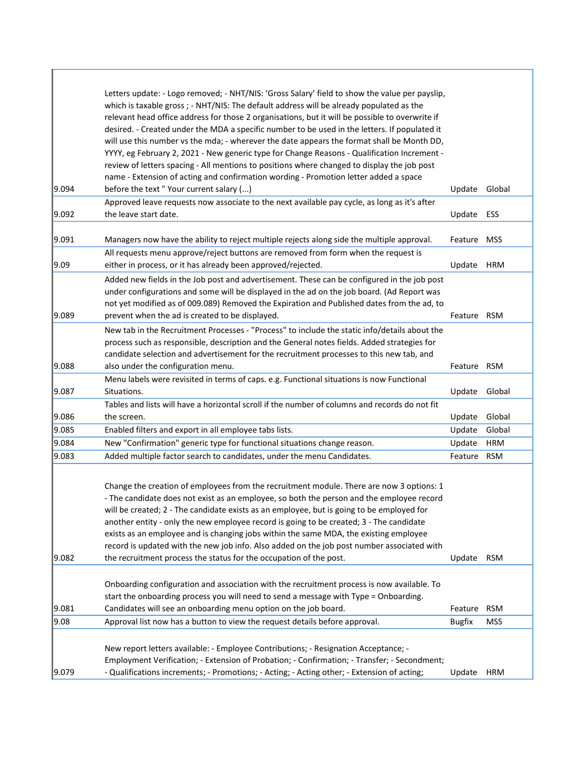|       | Letters update: - Logo removed; - NHT/NIS: 'Gross Salary' field to show the value per payslip,<br>which is taxable gross ; - NHT/NIS: The default address will be already populated as the<br>relevant head office address for those 2 organisations, but it will be possible to overwrite if<br>desired. - Created under the MDA a specific number to be used in the letters. If populated it<br>will use this number vs the mda; - wherever the date appears the format shall be Month DD,<br>YYYY, eg February 2, 2021 - New generic type for Change Reasons - Qualification Increment -<br>review of letters spacing - All mentions to positions where changed to display the job post<br>name - Extension of acting and confirmation wording - Promotion letter added a space |               |            |
|-------|------------------------------------------------------------------------------------------------------------------------------------------------------------------------------------------------------------------------------------------------------------------------------------------------------------------------------------------------------------------------------------------------------------------------------------------------------------------------------------------------------------------------------------------------------------------------------------------------------------------------------------------------------------------------------------------------------------------------------------------------------------------------------------|---------------|------------|
| 9.094 | before the text "Your current salary ()                                                                                                                                                                                                                                                                                                                                                                                                                                                                                                                                                                                                                                                                                                                                            | Update        | Global     |
| 9.092 | Approved leave requests now associate to the next available pay cycle, as long as it's after<br>the leave start date.                                                                                                                                                                                                                                                                                                                                                                                                                                                                                                                                                                                                                                                              | Update        | ESS        |
| 9.091 | Managers now have the ability to reject multiple rejects along side the multiple approval.                                                                                                                                                                                                                                                                                                                                                                                                                                                                                                                                                                                                                                                                                         | Feature       | <b>MSS</b> |
| 9.09  | All requests menu approve/reject buttons are removed from form when the request is<br>either in process, or it has already been approved/rejected.                                                                                                                                                                                                                                                                                                                                                                                                                                                                                                                                                                                                                                 | Update        | <b>HRM</b> |
| 9.089 | Added new fields in the Job post and advertisement. These can be configured in the job post<br>under configurations and some will be displayed in the ad on the job board. (Ad Report was<br>not yet modified as of 009.089) Removed the Expiration and Published dates from the ad, to<br>prevent when the ad is created to be displayed.                                                                                                                                                                                                                                                                                                                                                                                                                                         | Feature       | RSM        |
| 9.088 | New tab in the Recruitment Processes - "Process" to include the static info/details about the<br>process such as responsible, description and the General notes fields. Added strategies for<br>candidate selection and advertisement for the recruitment processes to this new tab, and<br>also under the configuration menu.                                                                                                                                                                                                                                                                                                                                                                                                                                                     | Feature RSM   |            |
|       | Menu labels were revisited in terms of caps. e.g. Functional situations is now Functional                                                                                                                                                                                                                                                                                                                                                                                                                                                                                                                                                                                                                                                                                          |               |            |
| 9.087 | Situations.                                                                                                                                                                                                                                                                                                                                                                                                                                                                                                                                                                                                                                                                                                                                                                        | Update        | Global     |
| 9.086 | Tables and lists will have a horizontal scroll if the number of columns and records do not fit<br>the screen.                                                                                                                                                                                                                                                                                                                                                                                                                                                                                                                                                                                                                                                                      | Update        | Global     |
| 9.085 | Enabled filters and export in all employee tabs lists.                                                                                                                                                                                                                                                                                                                                                                                                                                                                                                                                                                                                                                                                                                                             | Update        | Global     |
| 9.084 | New "Confirmation" generic type for functional situations change reason.                                                                                                                                                                                                                                                                                                                                                                                                                                                                                                                                                                                                                                                                                                           | Update        | <b>HRM</b> |
| 9.083 | Added multiple factor search to candidates, under the menu Candidates.                                                                                                                                                                                                                                                                                                                                                                                                                                                                                                                                                                                                                                                                                                             | Feature       | <b>RSM</b> |
| 9.082 | Change the creation of employees from the recruitment module. There are now 3 options: 1<br>- The candidate does not exist as an employee, so both the person and the employee record<br>will be created; 2 - The candidate exists as an employee, but is going to be employed for<br>another entity - only the new employee record is going to be created; 3 - The candidate<br>exists as an employee and is changing jobs within the same MDA, the existing employee<br>record is updated with the new job info. Also added on the job post number associated with<br>the recruitment process the status for the occupation of the post.                                                                                                                                         | Update        | <b>RSM</b> |
|       | Onboarding configuration and association with the recruitment process is now available. To<br>start the onboarding process you will need to send a message with Type = Onboarding.                                                                                                                                                                                                                                                                                                                                                                                                                                                                                                                                                                                                 |               |            |
| 9.081 | Candidates will see an onboarding menu option on the job board.                                                                                                                                                                                                                                                                                                                                                                                                                                                                                                                                                                                                                                                                                                                    | Feature       | <b>RSM</b> |
| 9.08  | Approval list now has a button to view the request details before approval.                                                                                                                                                                                                                                                                                                                                                                                                                                                                                                                                                                                                                                                                                                        | <b>Bugfix</b> | <b>MSS</b> |
| 9.079 | New report letters available: - Employee Contributions; - Resignation Acceptance; -<br>Employment Verification; - Extension of Probation; - Confirmation; - Transfer; - Secondment;<br>- Qualifications increments; - Promotions; - Acting; - Acting other; - Extension of acting;                                                                                                                                                                                                                                                                                                                                                                                                                                                                                                 | Update        | <b>HRM</b> |

ı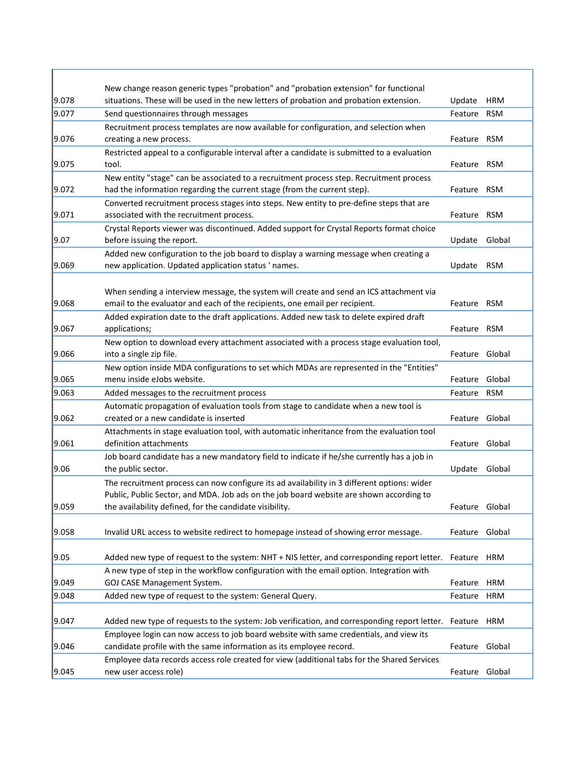| 9.078 | New change reason generic types "probation" and "probation extension" for functional<br>situations. These will be used in the new letters of probation and probation extension.                     | Update         | <b>HRM</b> |
|-------|-----------------------------------------------------------------------------------------------------------------------------------------------------------------------------------------------------|----------------|------------|
| 9.077 | Send questionnaires through messages                                                                                                                                                                | Feature        | <b>RSM</b> |
|       | Recruitment process templates are now available for configuration, and selection when                                                                                                               |                |            |
| 9.076 | creating a new process.                                                                                                                                                                             | Feature RSM    |            |
|       | Restricted appeal to a configurable interval after a candidate is submitted to a evaluation                                                                                                         |                |            |
| 9.075 | tool.                                                                                                                                                                                               | Feature RSM    |            |
|       | New entity "stage" can be associated to a recruitment process step. Recruitment process                                                                                                             |                |            |
| 9.072 | had the information regarding the current stage (from the current step).                                                                                                                            | Feature RSM    |            |
|       | Converted recruitment process stages into steps. New entity to pre-define steps that are                                                                                                            |                |            |
| 9.071 | associated with the recruitment process.                                                                                                                                                            | Feature        | <b>RSM</b> |
|       | Crystal Reports viewer was discontinued. Added support for Crystal Reports format choice                                                                                                            |                |            |
| 9.07  | before issuing the report.                                                                                                                                                                          | Update         | Global     |
|       | Added new configuration to the job board to display a warning message when creating a                                                                                                               |                |            |
| 9.069 | new application. Updated application status ' names.                                                                                                                                                | Update         | <b>RSM</b> |
|       |                                                                                                                                                                                                     |                |            |
|       | When sending a interview message, the system will create and send an ICS attachment via                                                                                                             |                |            |
| 9.068 | email to the evaluator and each of the recipients, one email per recipient.                                                                                                                         | Feature        | <b>RSM</b> |
|       | Added expiration date to the draft applications. Added new task to delete expired draft                                                                                                             |                |            |
| 9.067 | applications;                                                                                                                                                                                       | Feature        | <b>RSM</b> |
| 9.066 | New option to download every attachment associated with a process stage evaluation tool,<br>into a single zip file.                                                                                 | Feature Global |            |
|       | New option inside MDA configurations to set which MDAs are represented in the "Entities"                                                                                                            |                |            |
| 9.065 | menu inside eJobs website.                                                                                                                                                                          | Feature        | Global     |
| 9.063 | Added messages to the recruitment process                                                                                                                                                           | Feature        | <b>RSM</b> |
|       | Automatic propagation of evaluation tools from stage to candidate when a new tool is                                                                                                                |                |            |
| 9.062 | created or a new candidate is inserted                                                                                                                                                              | Feature        | Global     |
|       | Attachments in stage evaluation tool, with automatic inheritance from the evaluation tool                                                                                                           |                |            |
| 9.061 | definition attachments                                                                                                                                                                              | Feature Global |            |
|       | Job board candidate has a new mandatory field to indicate if he/she currently has a job in                                                                                                          |                |            |
| 9.06  | the public sector.                                                                                                                                                                                  | Update         | Global     |
|       | The recruitment process can now configure its ad availability in 3 different options: wider                                                                                                         |                |            |
|       | Public, Public Sector, and MDA. Job ads on the job board website are shown according to                                                                                                             |                |            |
| 9.059 | the availability defined, for the candidate visibility.                                                                                                                                             | Feature Global |            |
|       |                                                                                                                                                                                                     |                |            |
| 9.058 | Invalid URL access to website redirect to homepage instead of showing error message.                                                                                                                | Feature Global |            |
|       |                                                                                                                                                                                                     |                |            |
| 9.05  | Added new type of request to the system: NHT + NIS letter, and corresponding report letter. Feature HRM<br>A new type of step in the workflow configuration with the email option. Integration with |                |            |
| 9.049 | GOJ CASE Management System.                                                                                                                                                                         | Feature        | <b>HRM</b> |
| 9.048 | Added new type of request to the system: General Query.                                                                                                                                             | Feature        | HRM        |
|       |                                                                                                                                                                                                     |                |            |
| 9.047 | Added new type of requests to the system: Job verification, and corresponding report letter. Feature HRM                                                                                            |                |            |
|       | Employee login can now access to job board website with same credentials, and view its                                                                                                              |                |            |
| 9.046 | candidate profile with the same information as its employee record.                                                                                                                                 | Feature Global |            |
|       | Employee data records access role created for view (additional tabs for the Shared Services                                                                                                         |                |            |
| 9.045 | new user access role)                                                                                                                                                                               | Feature Global |            |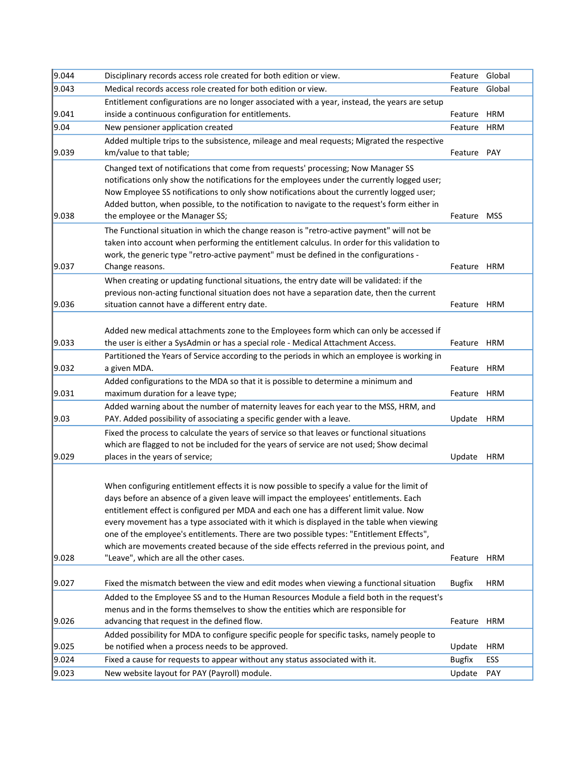| 9.044 | Disciplinary records access role created for both edition or view.                                                                                                                  | Feature       | Global     |
|-------|-------------------------------------------------------------------------------------------------------------------------------------------------------------------------------------|---------------|------------|
| 9.043 | Medical records access role created for both edition or view.                                                                                                                       | Feature       | Global     |
|       | Entitlement configurations are no longer associated with a year, instead, the years are setup                                                                                       |               |            |
| 9.041 | inside a continuous configuration for entitlements.                                                                                                                                 | Feature       | <b>HRM</b> |
| 9.04  | New pensioner application created                                                                                                                                                   | Feature       | <b>HRM</b> |
|       | Added multiple trips to the subsistence, mileage and meal requests; Migrated the respective                                                                                         |               |            |
| 9.039 | km/value to that table;                                                                                                                                                             | Feature       | PAY        |
|       | Changed text of notifications that come from requests' processing; Now Manager SS                                                                                                   |               |            |
|       | notifications only show the notifications for the employees under the currently logged user;                                                                                        |               |            |
|       | Now Employee SS notifications to only show notifications about the currently logged user;                                                                                           |               |            |
|       | Added button, when possible, to the notification to navigate to the request's form either in                                                                                        |               |            |
| 9.038 | the employee or the Manager SS;                                                                                                                                                     | Feature       | <b>MSS</b> |
|       | The Functional situation in which the change reason is "retro-active payment" will not be                                                                                           |               |            |
|       | taken into account when performing the entitlement calculus. In order for this validation to                                                                                        |               |            |
|       | work, the generic type "retro-active payment" must be defined in the configurations -                                                                                               |               |            |
| 9.037 | Change reasons.                                                                                                                                                                     | Feature HRM   |            |
|       | When creating or updating functional situations, the entry date will be validated: if the                                                                                           |               |            |
|       | previous non-acting functional situation does not have a separation date, then the current                                                                                          |               |            |
| 9.036 | situation cannot have a different entry date.                                                                                                                                       | Feature HRM   |            |
|       |                                                                                                                                                                                     |               |            |
|       | Added new medical attachments zone to the Employees form which can only be accessed if                                                                                              |               |            |
| 9.033 | the user is either a SysAdmin or has a special role - Medical Attachment Access.                                                                                                    | Feature HRM   |            |
|       | Partitioned the Years of Service according to the periods in which an employee is working in                                                                                        |               | HRM        |
| 9.032 | a given MDA.                                                                                                                                                                        | Feature       |            |
| 9.031 | Added configurations to the MDA so that it is possible to determine a minimum and<br>maximum duration for a leave type;                                                             | Feature HRM   |            |
|       | Added warning about the number of maternity leaves for each year to the MSS, HRM, and                                                                                               |               |            |
| 9.03  | PAY. Added possibility of associating a specific gender with a leave.                                                                                                               | Update        | <b>HRM</b> |
|       | Fixed the process to calculate the years of service so that leaves or functional situations                                                                                         |               |            |
|       | which are flagged to not be included for the years of service are not used; Show decimal                                                                                            |               |            |
| 9.029 | places in the years of service;                                                                                                                                                     | Update        | <b>HRM</b> |
|       |                                                                                                                                                                                     |               |            |
|       |                                                                                                                                                                                     |               |            |
|       | When configuring entitlement effects it is now possible to specify a value for the limit of                                                                                         |               |            |
|       | days before an absence of a given leave will impact the employees' entitlements. Each                                                                                               |               |            |
|       | entitlement effect is configured per MDA and each one has a different limit value. Now<br>every movement has a type associated with it which is displayed in the table when viewing |               |            |
|       | one of the employee's entitlements. There are two possible types: "Entitlement Effects",                                                                                            |               |            |
|       | which are movements created because of the side effects referred in the previous point, and                                                                                         |               |            |
| 9.028 | "Leave", which are all the other cases.                                                                                                                                             | Feature       | <b>HRM</b> |
|       |                                                                                                                                                                                     |               |            |
| 9.027 | Fixed the mismatch between the view and edit modes when viewing a functional situation                                                                                              | <b>Bugfix</b> | <b>HRM</b> |
|       | Added to the Employee SS and to the Human Resources Module a field both in the request's                                                                                            |               |            |
|       | menus and in the forms themselves to show the entities which are responsible for                                                                                                    |               |            |
| 9.026 | advancing that request in the defined flow.                                                                                                                                         | Feature       | <b>HRM</b> |
|       | Added possibility for MDA to configure specific people for specific tasks, namely people to                                                                                         |               |            |
| 9.025 | be notified when a process needs to be approved.                                                                                                                                    | Update        | <b>HRM</b> |
| 9.024 | Fixed a cause for requests to appear without any status associated with it.                                                                                                         | <b>Bugfix</b> | ESS        |
| 9.023 | New website layout for PAY (Payroll) module.                                                                                                                                        | Update        | PAY        |